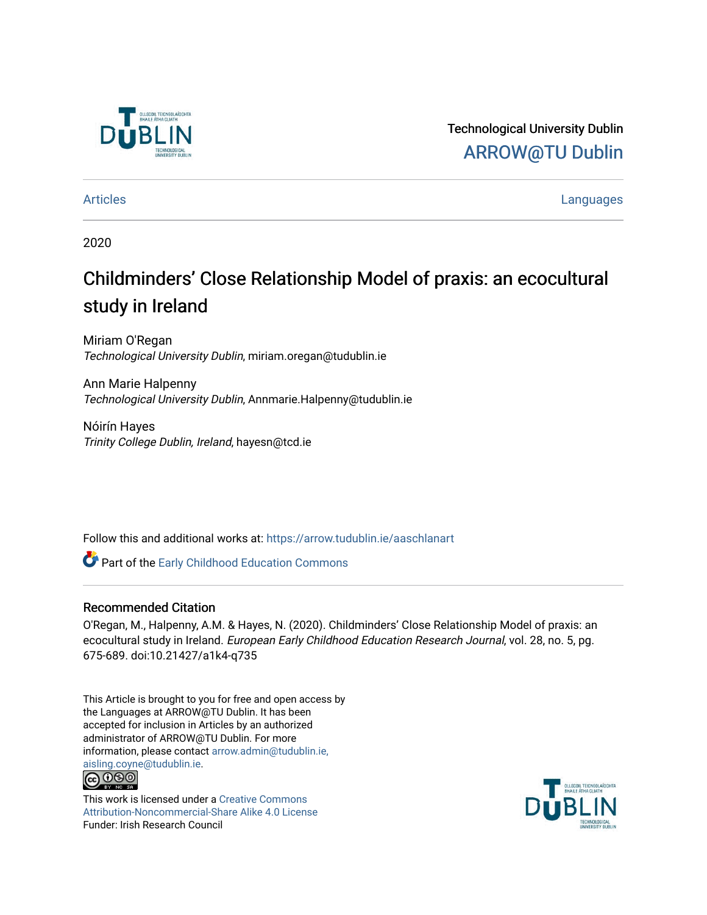

Technological University Dublin [ARROW@TU Dublin](https://arrow.tudublin.ie/) 

[Articles](https://arrow.tudublin.ie/aaschlanart) **Languages** 

2020

# Childminders' Close Relationship Model of praxis: an ecocultural study in Ireland

Miriam O'Regan Technological University Dublin, miriam.oregan@tudublin.ie

Ann Marie Halpenny Technological University Dublin, Annmarie.Halpenny@tudublin.ie

Nóirín Hayes Trinity College Dublin, Ireland, hayesn@tcd.ie

Follow this and additional works at: [https://arrow.tudublin.ie/aaschlanart](https://arrow.tudublin.ie/aaschlanart?utm_source=arrow.tudublin.ie%2Faaschlanart%2F41&utm_medium=PDF&utm_campaign=PDFCoverPages) 

Part of the [Early Childhood Education Commons](http://network.bepress.com/hgg/discipline/1377?utm_source=arrow.tudublin.ie%2Faaschlanart%2F41&utm_medium=PDF&utm_campaign=PDFCoverPages) 

#### Recommended Citation

O'Regan, M., Halpenny, A.M. & Hayes, N. (2020). Childminders' Close Relationship Model of praxis: an ecocultural study in Ireland. European Early Childhood Education Research Journal, vol. 28, no. 5, pg. 675-689. doi:10.21427/a1k4-q735

This Article is brought to you for free and open access by the Languages at ARROW@TU Dublin. It has been accepted for inclusion in Articles by an authorized administrator of ARROW@TU Dublin. For more information, please contact [arrow.admin@tudublin.ie,](mailto:arrow.admin@tudublin.ie,%20aisling.coyne@tudublin.ie)  [aisling.coyne@tudublin.ie.](mailto:arrow.admin@tudublin.ie,%20aisling.coyne@tudublin.ie) **@@@** 

This work is licensed under a [Creative Commons](http://creativecommons.org/licenses/by-nc-sa/4.0/) [Attribution-Noncommercial-Share Alike 4.0 License](http://creativecommons.org/licenses/by-nc-sa/4.0/) Funder: Irish Research Council

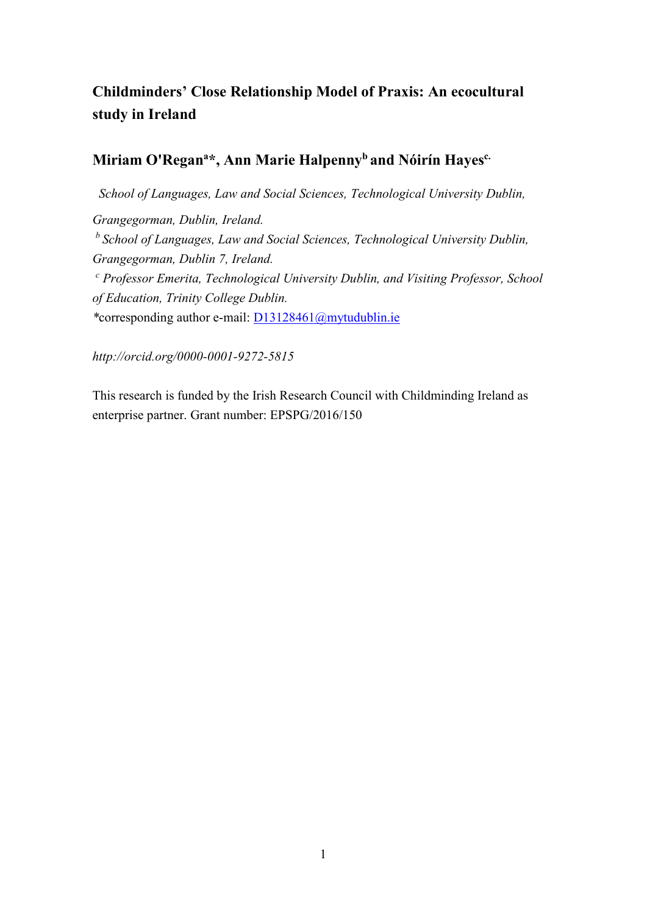# **Childminders' Close Relationship Model of Praxis: An ecocultural study in Ireland**

## **Miriam O'Regana \*, Ann Marie Halpennyb and Nóirín Hayesc.**

 *School of Languages, Law and Social Sciences, Technological University Dublin, Grangegorman, Dublin, Ireland. <sup>b</sup> School of Languages, Law and Social Sciences, Technological University Dublin, Grangegorman, Dublin 7, Ireland. <sup>c</sup> Professor Emerita, Technological University Dublin, and Visiting Professor, School of Education, Trinity College Dublin. \**corresponding author e-mail: [D13128461@mytudublin.ie](mailto:D13128461@mytudublin.ie)

*http://orcid.org/0000-0001-9272-5815*

This research is funded by the Irish Research Council with Childminding Ireland as enterprise partner. Grant number: EPSPG/2016/150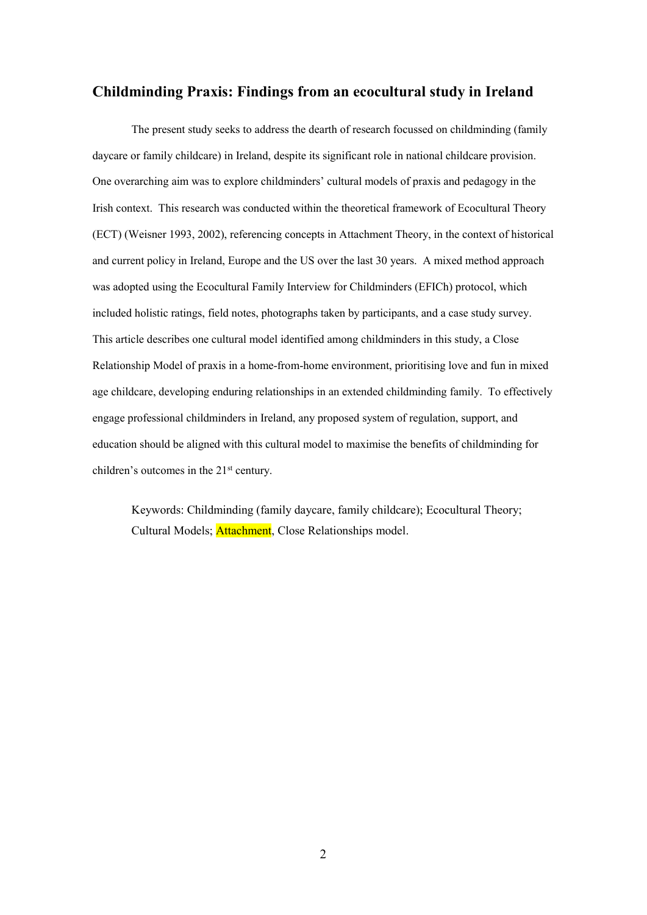### **Childminding Praxis: Findings from an ecocultural study in Ireland**

The present study seeks to address the dearth of research focussed on childminding (family daycare or family childcare) in Ireland, despite its significant role in national childcare provision. One overarching aim was to explore childminders' cultural models of praxis and pedagogy in the Irish context. This research was conducted within the theoretical framework of Ecocultural Theory (ECT) (Weisner 1993, 2002), referencing concepts in Attachment Theory, in the context of historical and current policy in Ireland, Europe and the US over the last 30 years. A mixed method approach was adopted using the Ecocultural Family Interview for Childminders (EFICh) protocol, which included holistic ratings, field notes, photographs taken by participants, and a case study survey. This article describes one cultural model identified among childminders in this study, a Close Relationship Model of praxis in a home-from-home environment, prioritising love and fun in mixed age childcare, developing enduring relationships in an extended childminding family. To effectively engage professional childminders in Ireland, any proposed system of regulation, support, and education should be aligned with this cultural model to maximise the benefits of childminding for children's outcomes in the 21<sup>st</sup> century.

Keywords: Childminding (family daycare, family childcare); Ecocultural Theory; Cultural Models; Attachment, Close Relationships model.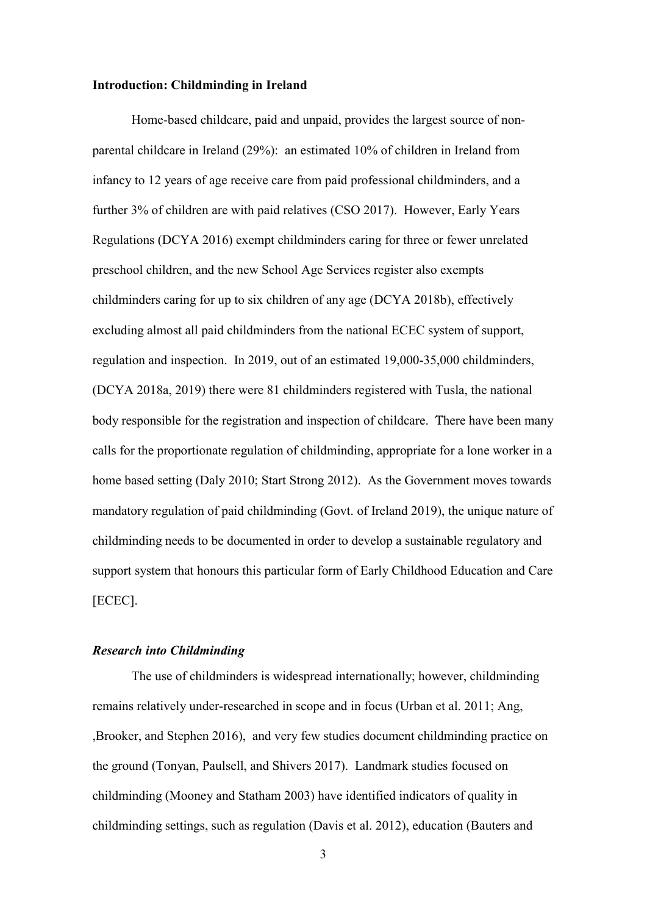#### **Introduction: Childminding in Ireland**

Home-based childcare, paid and unpaid, provides the largest source of nonparental childcare in Ireland (29%): an estimated 10% of children in Ireland from infancy to 12 years of age receive care from paid professional childminders, and a further 3% of children are with paid relatives (CSO 2017). However, Early Years Regulations (DCYA 2016) exempt childminders caring for three or fewer unrelated preschool children, and the new School Age Services register also exempts childminders caring for up to six children of any age (DCYA 2018b), effectively excluding almost all paid childminders from the national ECEC system of support, regulation and inspection. In 2019, out of an estimated 19,000-35,000 childminders, (DCYA 2018a, 2019) there were 81 childminders registered with Tusla, the national body responsible for the registration and inspection of childcare. There have been many calls for the proportionate regulation of childminding, appropriate for a lone worker in a home based setting (Daly 2010; Start Strong 2012). As the Government moves towards mandatory regulation of paid childminding (Govt. of Ireland 2019), the unique nature of childminding needs to be documented in order to develop a sustainable regulatory and support system that honours this particular form of Early Childhood Education and Care [ECEC].

#### *Research into Childminding*

The use of childminders is widespread internationally; however, childminding remains relatively under-researched in scope and in focus (Urban et al. 2011; Ang, ,Brooker, and Stephen 2016), and very few studies document childminding practice on the ground (Tonyan, Paulsell, and Shivers 2017). Landmark studies focused on childminding (Mooney and Statham 2003) have identified indicators of quality in childminding settings, such as regulation (Davis et al. 2012), education (Bauters and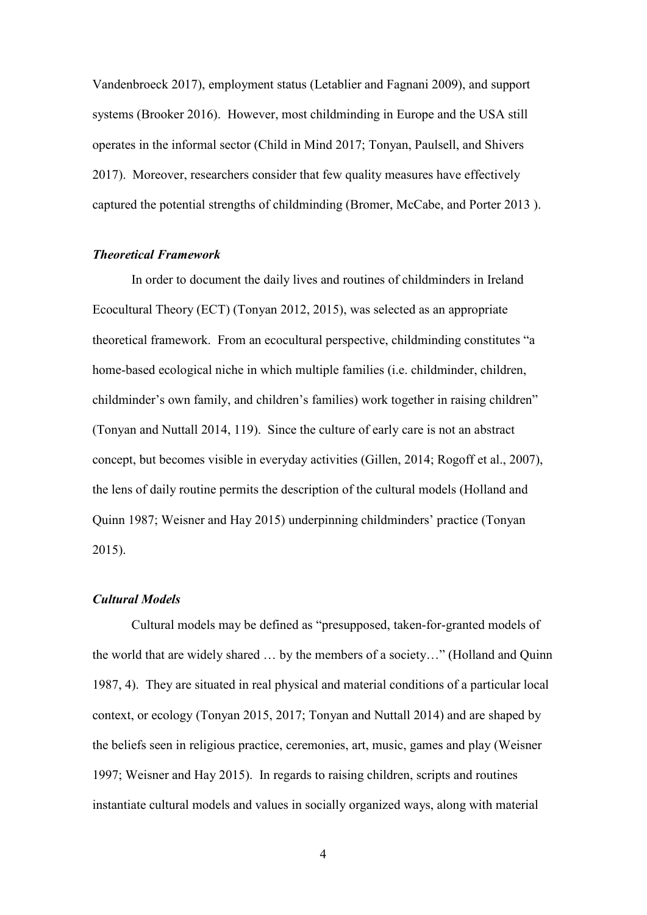Vandenbroeck 2017), employment status (Letablier and Fagnani 2009), and support systems (Brooker 2016). However, most childminding in Europe and the USA still operates in the informal sector (Child in Mind 2017; Tonyan, Paulsell, and Shivers 2017). Moreover, researchers consider that few quality measures have effectively captured the potential strengths of childminding (Bromer, McCabe, and Porter 2013 ).

#### *Theoretical Framework*

In order to document the daily lives and routines of childminders in Ireland Ecocultural Theory (ECT) (Tonyan 2012, 2015), was selected as an appropriate theoretical framework. From an ecocultural perspective, childminding constitutes "a home-based ecological niche in which multiple families (i.e. childminder, children, childminder's own family, and children's families) work together in raising children" (Tonyan and Nuttall 2014, 119). Since the culture of early care is not an abstract concept, but becomes visible in everyday activities (Gillen, 2014; Rogoff et al., 2007), the lens of daily routine permits the description of the cultural models (Holland and Quinn 1987; Weisner and Hay 2015) underpinning childminders' practice (Tonyan 2015).

#### *Cultural Models*

Cultural models may be defined as "presupposed, taken-for-granted models of the world that are widely shared … by the members of a society…" (Holland and Quinn 1987, 4). They are situated in real physical and material conditions of a particular local context, or ecology (Tonyan 2015, 2017; Tonyan and Nuttall 2014) and are shaped by the beliefs seen in religious practice, ceremonies, art, music, games and play (Weisner 1997; Weisner and Hay 2015). In regards to raising children, scripts and routines instantiate cultural models and values in socially organized ways, along with material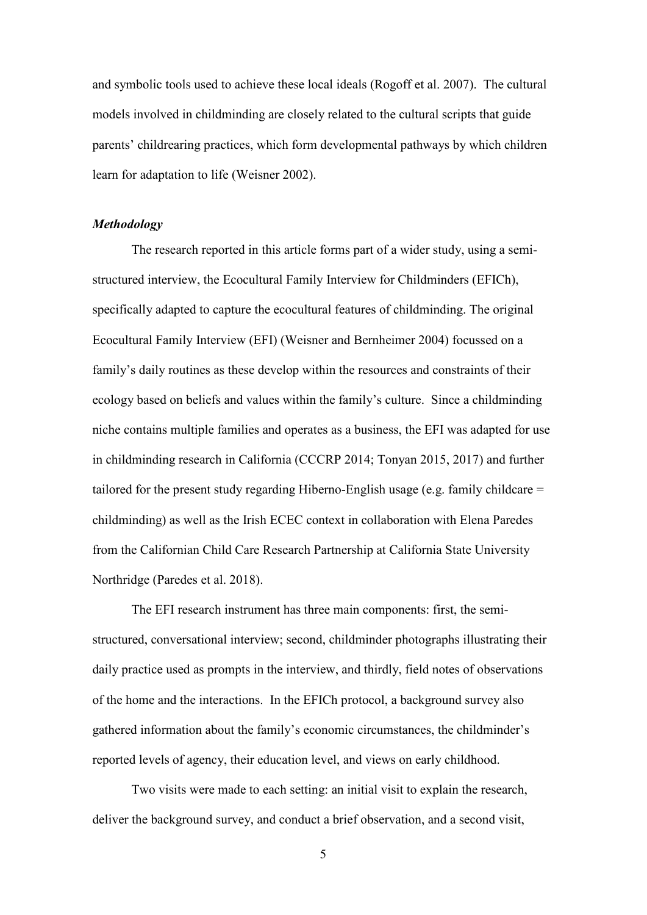and symbolic tools used to achieve these local ideals (Rogoff et al. 2007). The cultural models involved in childminding are closely related to the cultural scripts that guide parents' childrearing practices, which form developmental pathways by which children learn for adaptation to life (Weisner 2002).

#### *Methodology*

The research reported in this article forms part of a wider study, using a semistructured interview, the Ecocultural Family Interview for Childminders (EFICh), specifically adapted to capture the ecocultural features of childminding. The original Ecocultural Family Interview (EFI) (Weisner and Bernheimer 2004) focussed on a family's daily routines as these develop within the resources and constraints of their ecology based on beliefs and values within the family's culture. Since a childminding niche contains multiple families and operates as a business, the EFI was adapted for use in childminding research in California (CCCRP 2014; Tonyan 2015, 2017) and further tailored for the present study regarding Hiberno-English usage (e.g. family childcare = childminding) as well as the Irish ECEC context in collaboration with Elena Paredes from the Californian Child Care Research Partnership at California State University Northridge (Paredes et al. 2018).

The EFI research instrument has three main components: first, the semistructured, conversational interview; second, childminder photographs illustrating their daily practice used as prompts in the interview, and thirdly, field notes of observations of the home and the interactions. In the EFICh protocol, a background survey also gathered information about the family's economic circumstances, the childminder's reported levels of agency, their education level, and views on early childhood.

Two visits were made to each setting: an initial visit to explain the research, deliver the background survey, and conduct a brief observation, and a second visit,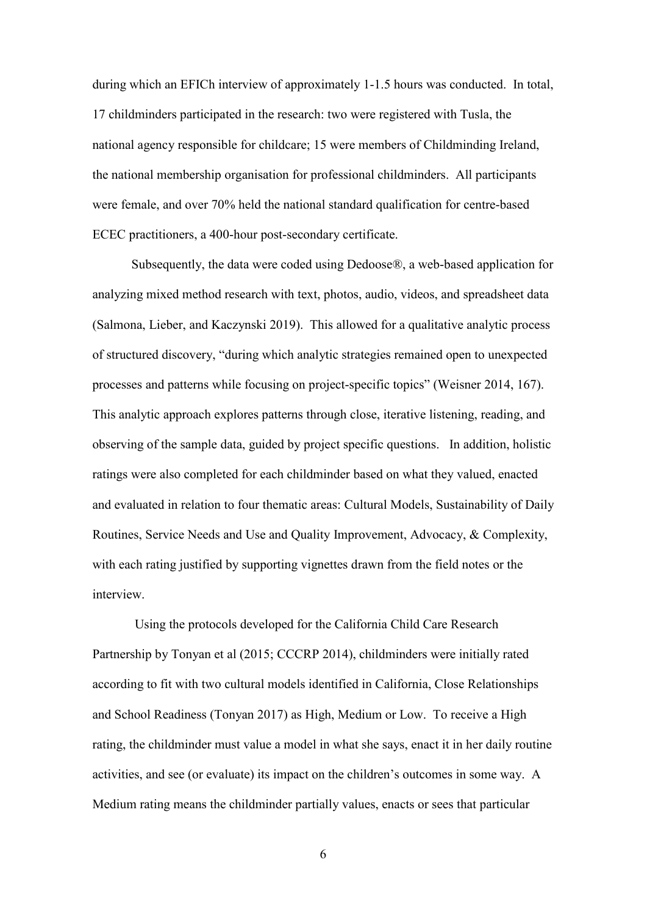during which an EFICh interview of approximately 1-1.5 hours was conducted. In total, 17 childminders participated in the research: two were registered with Tusla, the national agency responsible for childcare; 15 were members of Childminding Ireland, the national membership organisation for professional childminders. All participants were female, and over 70% held the national standard qualification for centre-based ECEC practitioners, a 400-hour post-secondary certificate.

Subsequently, the data were coded using Dedoose®, a web-based application for analyzing mixed method research with text, photos, audio, videos, and spreadsheet data (Salmona, Lieber, and Kaczynski 2019). This allowed for a qualitative analytic process of structured discovery, "during which analytic strategies remained open to unexpected processes and patterns while focusing on project-specific topics" (Weisner 2014, 167). This analytic approach explores patterns through close, iterative listening, reading, and observing of the sample data, guided by project specific questions. In addition, holistic ratings were also completed for each childminder based on what they valued, enacted and evaluated in relation to four thematic areas: Cultural Models, Sustainability of Daily Routines, Service Needs and Use and Quality Improvement, Advocacy, & Complexity, with each rating justified by supporting vignettes drawn from the field notes or the interview.

Using the protocols developed for the California Child Care Research Partnership by Tonyan et al (2015; CCCRP 2014), childminders were initially rated according to fit with two cultural models identified in California, Close Relationships and School Readiness (Tonyan 2017) as High, Medium or Low. To receive a High rating, the childminder must value a model in what she says, enact it in her daily routine activities, and see (or evaluate) its impact on the children's outcomes in some way. A Medium rating means the childminder partially values, enacts or sees that particular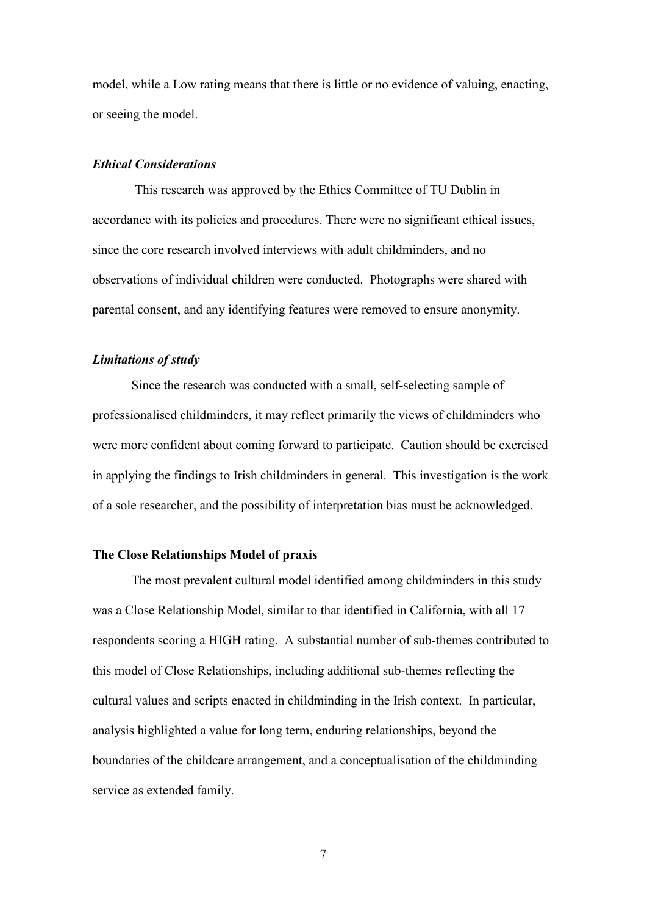model, while a Low rating means that there is little or no evidence of valuing, enacting, or seeing the model.

#### *Ethical Considerations*

This research was approved by the Ethics Committee of TU Dublin in accordance with its policies and procedures. There were no significant ethical issues, since the core research involved interviews with adult childminders, and no observations of individual children were conducted. Photographs were shared with parental consent, and any identifying features were removed to ensure anonymity.

#### *Limitations of study*

Since the research was conducted with a small, self-selecting sample of professionalised childminders, it may reflect primarily the views of childminders who were more confident about coming forward to participate. Caution should be exercised in applying the findings to Irish childminders in general. This investigation is the work of a sole researcher, and the possibility of interpretation bias must be acknowledged.

#### **The Close Relationships Model of praxis**

The most prevalent cultural model identified among childminders in this study was a Close Relationship Model, similar to that identified in California, with all 17 respondents scoring a HIGH rating. A substantial number of sub-themes contributed to this model of Close Relationships, including additional sub-themes reflecting the cultural values and scripts enacted in childminding in the Irish context. In particular, analysis highlighted a value for long term, enduring relationships, beyond the boundaries of the childcare arrangement, and a conceptualisation of the childminding service as extended family.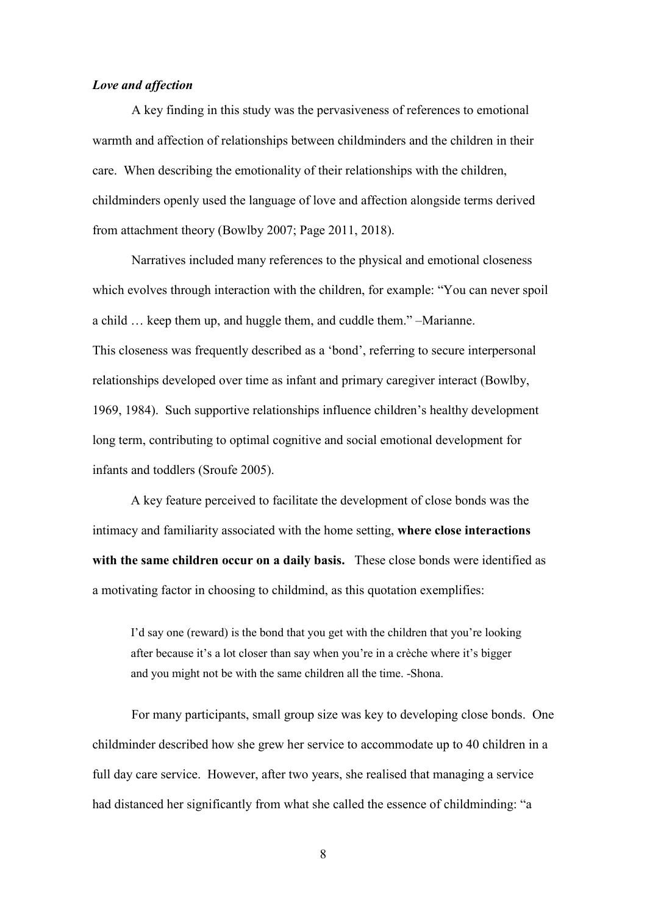#### *Love and affection*

A key finding in this study was the pervasiveness of references to emotional warmth and affection of relationships between childminders and the children in their care. When describing the emotionality of their relationships with the children, childminders openly used the language of love and affection alongside terms derived from attachment theory (Bowlby 2007; Page 2011, 2018).

Narratives included many references to the physical and emotional closeness which evolves through interaction with the children, for example: "You can never spoil a child … keep them up, and huggle them, and cuddle them." –Marianne. This closeness was frequently described as a 'bond', referring to secure interpersonal relationships developed over time as infant and primary caregiver interact (Bowlby, 1969, 1984). Such supportive relationships influence children's healthy development long term, contributing to optimal cognitive and social emotional development for infants and toddlers (Sroufe 2005).

A key feature perceived to facilitate the development of close bonds was the intimacy and familiarity associated with the home setting, **where close interactions with the same children occur on a daily basis.** These close bonds were identified as a motivating factor in choosing to childmind, as this quotation exemplifies:

I'd say one (reward) is the bond that you get with the children that you're looking after because it's a lot closer than say when you're in a crèche where it's bigger and you might not be with the same children all the time. -Shona.

For many participants, small group size was key to developing close bonds. One childminder described how she grew her service to accommodate up to 40 children in a full day care service. However, after two years, she realised that managing a service had distanced her significantly from what she called the essence of childminding: "a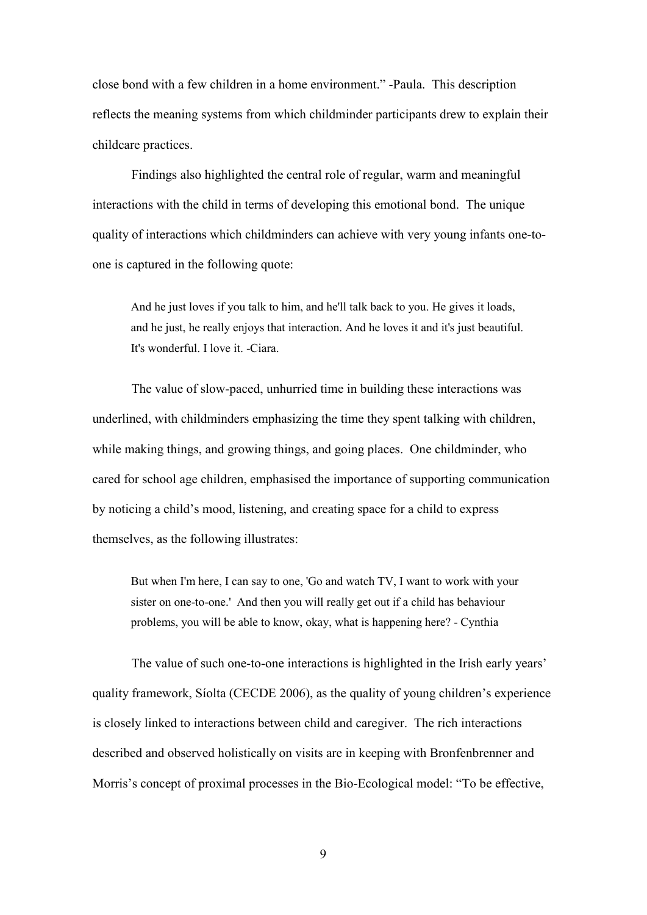close bond with a few children in a home environment." -Paula. This description reflects the meaning systems from which childminder participants drew to explain their childcare practices.

Findings also highlighted the central role of regular, warm and meaningful interactions with the child in terms of developing this emotional bond. The unique quality of interactions which childminders can achieve with very young infants one-toone is captured in the following quote:

And he just loves if you talk to him, and he'll talk back to you. He gives it loads, and he just, he really enjoys that interaction. And he loves it and it's just beautiful. It's wonderful. I love it. -Ciara.

The value of slow-paced, unhurried time in building these interactions was underlined, with childminders emphasizing the time they spent talking with children, while making things, and growing things, and going places. One childminder, who cared for school age children, emphasised the importance of supporting communication by noticing a child's mood, listening, and creating space for a child to express themselves, as the following illustrates:

But when I'm here, I can say to one, 'Go and watch TV, I want to work with your sister on one-to-one.' And then you will really get out if a child has behaviour problems, you will be able to know, okay, what is happening here? - Cynthia

The value of such one-to-one interactions is highlighted in the Irish early years' quality framework, Síolta (CECDE 2006), as the quality of young children's experience is closely linked to interactions between child and caregiver. The rich interactions described and observed holistically on visits are in keeping with Bronfenbrenner and Morris's concept of proximal processes in the Bio-Ecological model: "To be effective,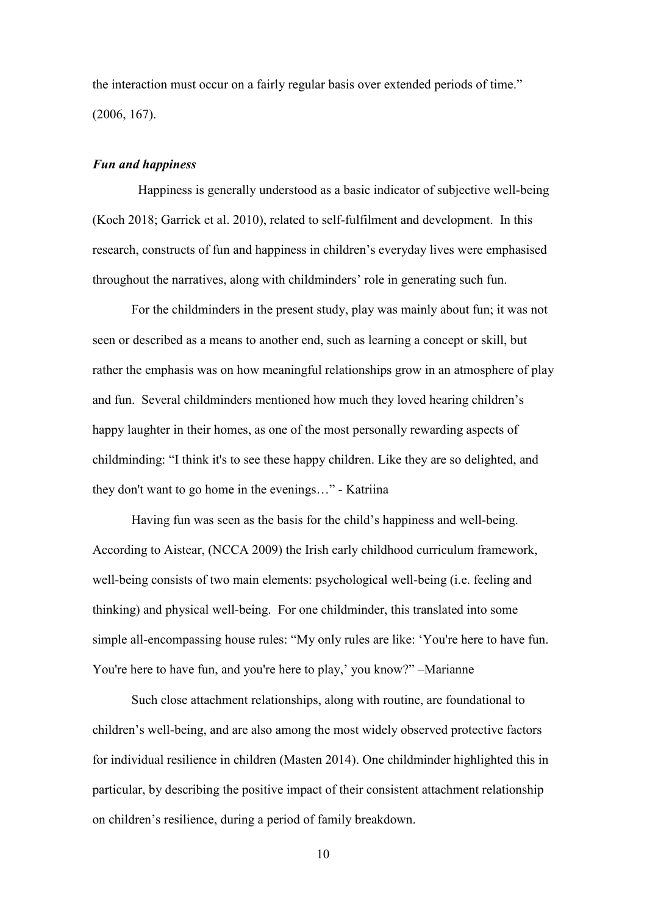the interaction must occur on a fairly regular basis over extended periods of time." (2006, 167).

#### *Fun and happiness*

Happiness is generally understood as a basic indicator of subjective well-being (Koch 2018; Garrick et al. 2010), related to self-fulfilment and development. In this research, constructs of fun and happiness in children's everyday lives were emphasised throughout the narratives, along with childminders' role in generating such fun.

For the childminders in the present study, play was mainly about fun; it was not seen or described as a means to another end, such as learning a concept or skill, but rather the emphasis was on how meaningful relationships grow in an atmosphere of play and fun. Several childminders mentioned how much they loved hearing children's happy laughter in their homes, as one of the most personally rewarding aspects of childminding: "I think it's to see these happy children. Like they are so delighted, and they don't want to go home in the evenings…" - Katriina

Having fun was seen as the basis for the child's happiness and well-being. According to Aistear, (NCCA 2009) the Irish early childhood curriculum framework, well-being consists of two main elements: psychological well-being (i.e. feeling and thinking) and physical well-being. For one childminder, this translated into some simple all-encompassing house rules: "My only rules are like: 'You're here to have fun. You're here to have fun, and you're here to play,' you know?" –Marianne

Such close attachment relationships, along with routine, are foundational to children's well-being, and are also among the most widely observed protective factors for individual resilience in children (Masten 2014). One childminder highlighted this in particular, by describing the positive impact of their consistent attachment relationship on children's resilience, during a period of family breakdown.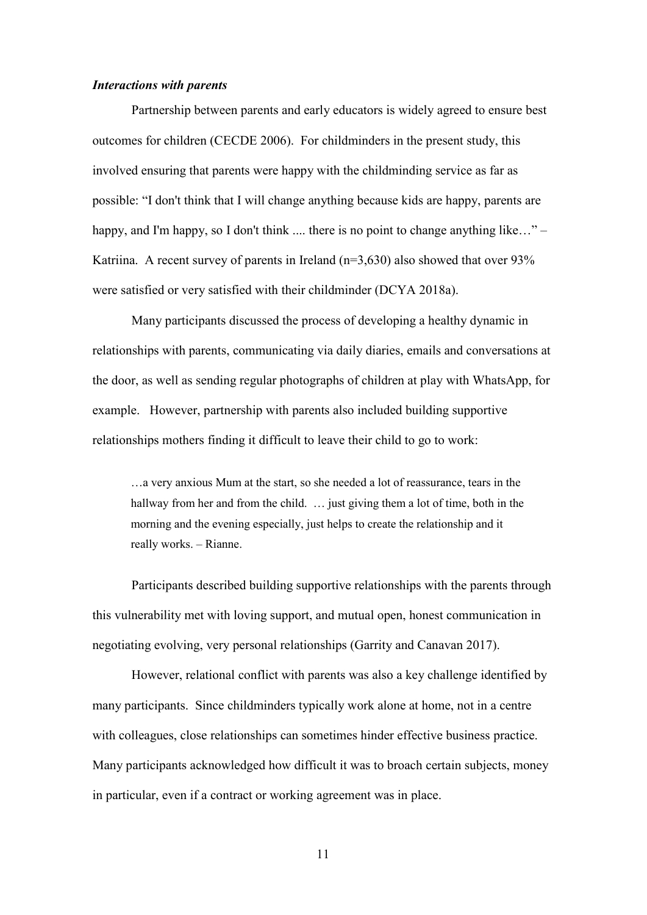#### *Interactions with parents*

Partnership between parents and early educators is widely agreed to ensure best outcomes for children (CECDE 2006). For childminders in the present study, this involved ensuring that parents were happy with the childminding service as far as possible: "I don't think that I will change anything because kids are happy, parents are happy, and I'm happy, so I don't think .... there is no point to change anything like..." – Katriina. A recent survey of parents in Ireland  $(n=3,630)$  also showed that over 93% were satisfied or very satisfied with their childminder (DCYA 2018a).

Many participants discussed the process of developing a healthy dynamic in relationships with parents, communicating via daily diaries, emails and conversations at the door, as well as sending regular photographs of children at play with WhatsApp, for example. However, partnership with parents also included building supportive relationships mothers finding it difficult to leave their child to go to work:

…a very anxious Mum at the start, so she needed a lot of reassurance, tears in the hallway from her and from the child. ... just giving them a lot of time, both in the morning and the evening especially, just helps to create the relationship and it really works. – Rianne.

Participants described building supportive relationships with the parents through this vulnerability met with loving support, and mutual open, honest communication in negotiating evolving, very personal relationships (Garrity and Canavan 2017).

However, relational conflict with parents was also a key challenge identified by many participants. Since childminders typically work alone at home, not in a centre with colleagues, close relationships can sometimes hinder effective business practice. Many participants acknowledged how difficult it was to broach certain subjects, money in particular, even if a contract or working agreement was in place.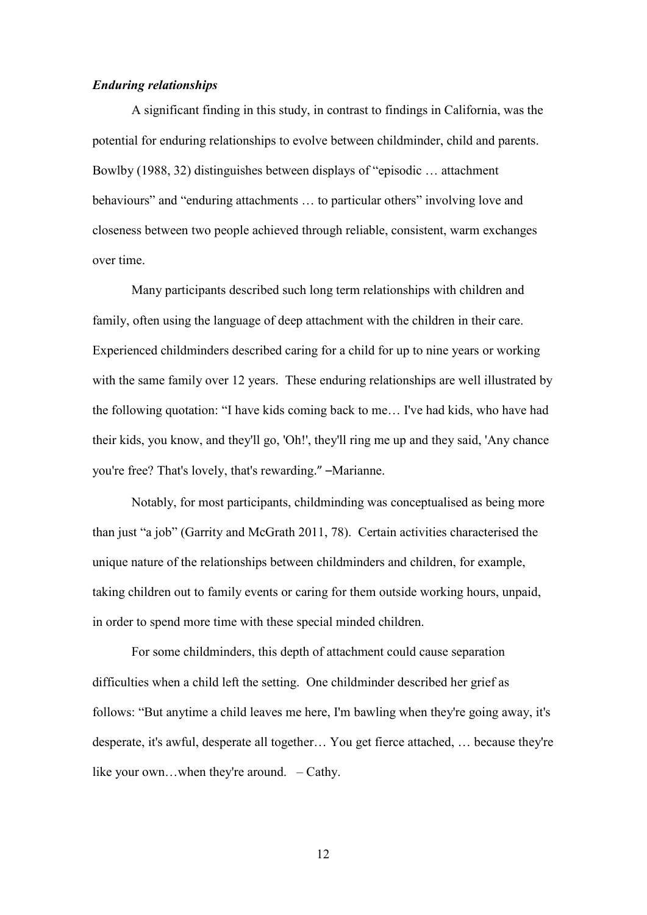#### *Enduring relationships*

A significant finding in this study, in contrast to findings in California, was the potential for enduring relationships to evolve between childminder, child and parents. Bowlby (1988, 32) distinguishes between displays of "episodic … attachment behaviours" and "enduring attachments ... to particular others" involving love and closeness between two people achieved through reliable, consistent, warm exchanges over time.

Many participants described such long term relationships with children and family, often using the language of deep attachment with the children in their care. Experienced childminders described caring for a child for up to nine years or working with the same family over 12 years. These enduring relationships are well illustrated by the following quotation: "I have kids coming back to me… I've had kids, who have had their kids, you know, and they'll go, 'Oh!', they'll ring me up and they said, 'Any chance you're free? That's lovely, that's rewarding." –Marianne.

Notably, for most participants, childminding was conceptualised as being more than just "a job" (Garrity and McGrath 2011, 78). Certain activities characterised the unique nature of the relationships between childminders and children, for example, taking children out to family events or caring for them outside working hours, unpaid, in order to spend more time with these special minded children.

For some childminders, this depth of attachment could cause separation difficulties when a child left the setting. One childminder described her grief as follows: "But anytime a child leaves me here, I'm bawling when they're going away, it's desperate, it's awful, desperate all together… You get fierce attached, … because they're like your own…when they're around. – Cathy.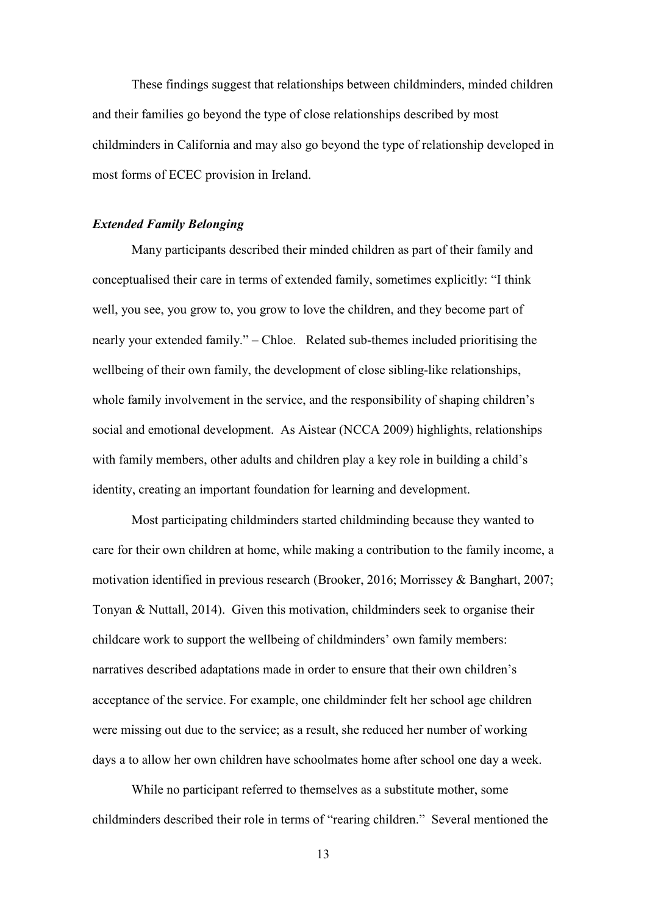These findings suggest that relationships between childminders, minded children and their families go beyond the type of close relationships described by most childminders in California and may also go beyond the type of relationship developed in most forms of ECEC provision in Ireland.

#### *Extended Family Belonging*

Many participants described their minded children as part of their family and conceptualised their care in terms of extended family, sometimes explicitly: "I think well, you see, you grow to, you grow to love the children, and they become part of nearly your extended family." – Chloe. Related sub-themes included prioritising the wellbeing of their own family, the development of close sibling-like relationships, whole family involvement in the service, and the responsibility of shaping children's social and emotional development. As Aistear (NCCA 2009) highlights, relationships with family members, other adults and children play a key role in building a child's identity, creating an important foundation for learning and development.

Most participating childminders started childminding because they wanted to care for their own children at home, while making a contribution to the family income, a motivation identified in previous research (Brooker, 2016; Morrissey & Banghart, 2007; Tonyan & Nuttall, 2014). Given this motivation, childminders seek to organise their childcare work to support the wellbeing of childminders' own family members: narratives described adaptations made in order to ensure that their own children's acceptance of the service. For example, one childminder felt her school age children were missing out due to the service; as a result, she reduced her number of working days a to allow her own children have schoolmates home after school one day a week.

While no participant referred to themselves as a substitute mother, some childminders described their role in terms of "rearing children." Several mentioned the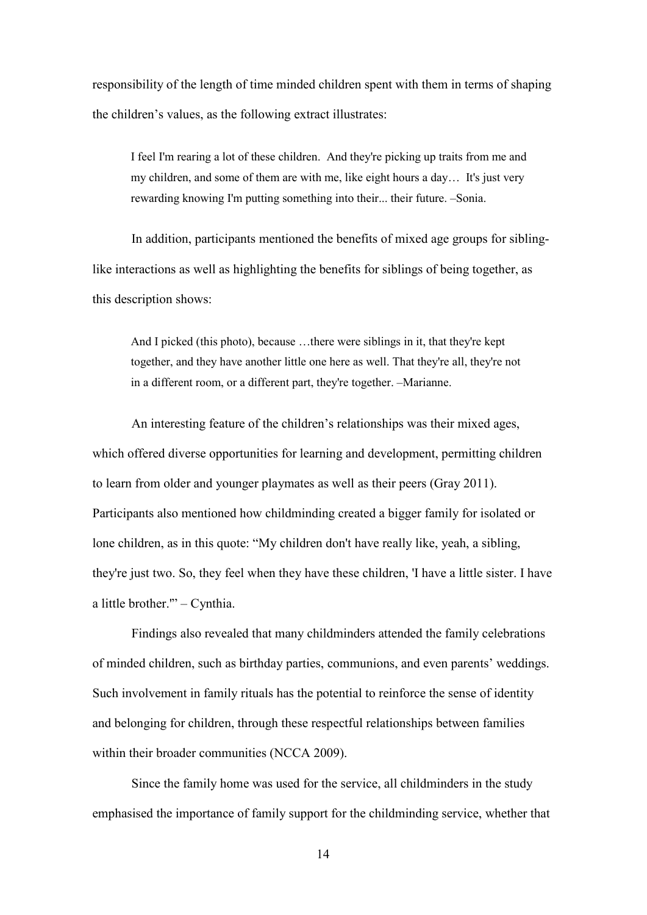responsibility of the length of time minded children spent with them in terms of shaping the children's values, as the following extract illustrates:

I feel I'm rearing a lot of these children. And they're picking up traits from me and my children, and some of them are with me, like eight hours a day… It's just very rewarding knowing I'm putting something into their... their future. –Sonia.

In addition, participants mentioned the benefits of mixed age groups for siblinglike interactions as well as highlighting the benefits for siblings of being together, as this description shows:

And I picked (this photo), because …there were siblings in it, that they're kept together, and they have another little one here as well. That they're all, they're not in a different room, or a different part, they're together. –Marianne.

An interesting feature of the children's relationships was their mixed ages, which offered diverse opportunities for learning and development, permitting children to learn from older and younger playmates as well as their peers (Gray 2011). Participants also mentioned how childminding created a bigger family for isolated or lone children, as in this quote: "My children don't have really like, yeah, a sibling, they're just two. So, they feel when they have these children, 'I have a little sister. I have a little brother.'" – Cynthia.

Findings also revealed that many childminders attended the family celebrations of minded children, such as birthday parties, communions, and even parents' weddings. Such involvement in family rituals has the potential to reinforce the sense of identity and belonging for children, through these respectful relationships between families within their broader communities (NCCA 2009).

Since the family home was used for the service, all childminders in the study emphasised the importance of family support for the childminding service, whether that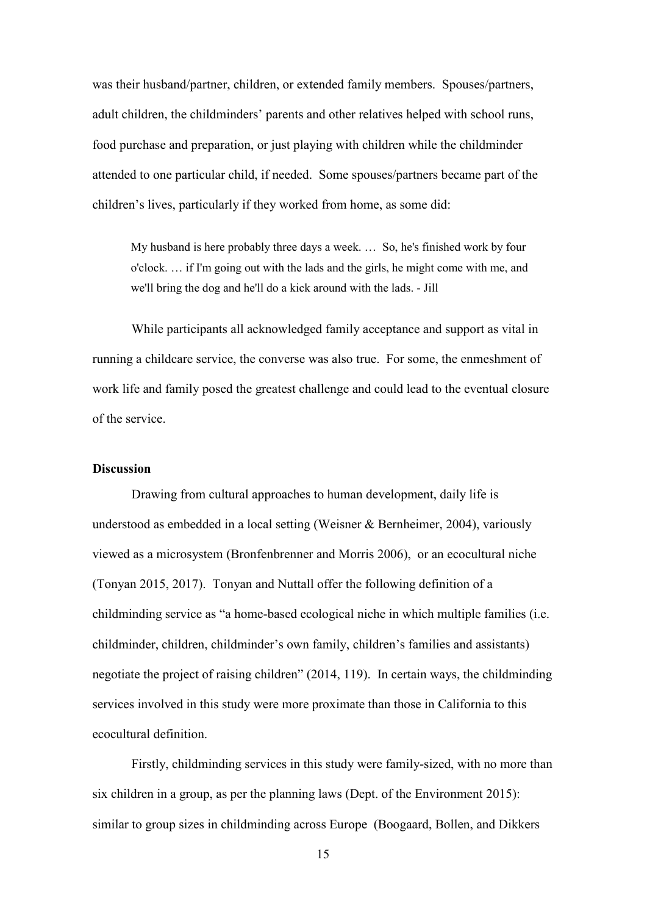was their husband/partner, children, or extended family members. Spouses/partners, adult children, the childminders' parents and other relatives helped with school runs, food purchase and preparation, or just playing with children while the childminder attended to one particular child, if needed. Some spouses/partners became part of the children's lives, particularly if they worked from home, as some did:

My husband is here probably three days a week. … So, he's finished work by four o'clock. … if I'm going out with the lads and the girls, he might come with me, and we'll bring the dog and he'll do a kick around with the lads. - Jill

While participants all acknowledged family acceptance and support as vital in running a childcare service, the converse was also true. For some, the enmeshment of work life and family posed the greatest challenge and could lead to the eventual closure of the service.

#### **Discussion**

Drawing from cultural approaches to human development, daily life is understood as embedded in a local setting (Weisner & Bernheimer, 2004), variously viewed as a microsystem (Bronfenbrenner and Morris 2006), or an ecocultural niche (Tonyan 2015, 2017). Tonyan and Nuttall offer the following definition of a childminding service as "a home-based ecological niche in which multiple families (i.e. childminder, children, childminder's own family, children's families and assistants) negotiate the project of raising children" (2014, 119). In certain ways, the childminding services involved in this study were more proximate than those in California to this ecocultural definition.

Firstly, childminding services in this study were family-sized, with no more than six children in a group, as per the planning laws (Dept. of the Environment 2015): similar to group sizes in childminding across Europe (Boogaard, Bollen, and Dikkers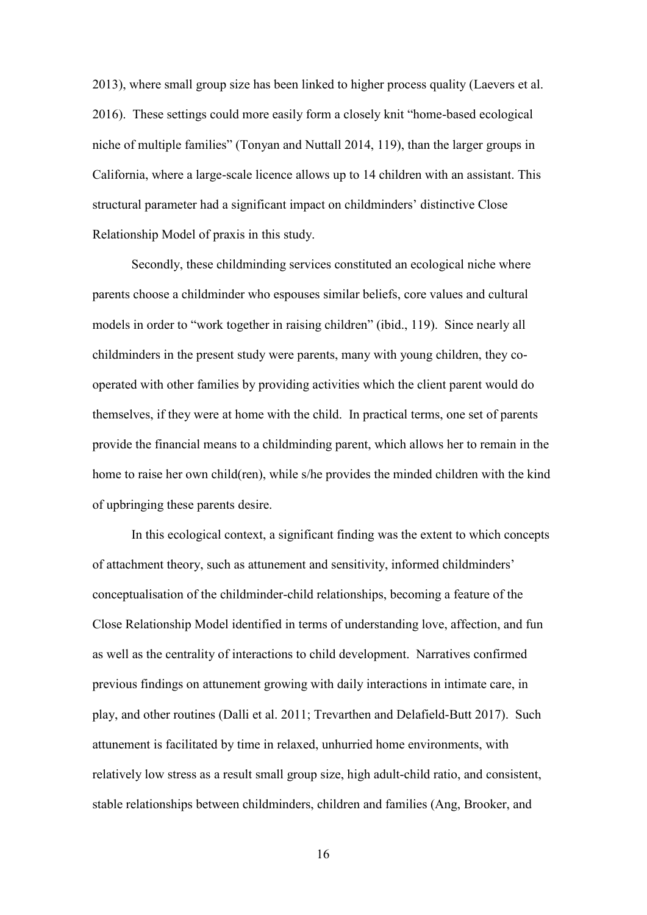2013), where small group size has been linked to higher process quality (Laevers et al. 2016). These settings could more easily form a closely knit "home-based ecological niche of multiple families" (Tonyan and Nuttall 2014, 119), than the larger groups in California, where a large-scale licence allows up to 14 children with an assistant. This structural parameter had a significant impact on childminders' distinctive Close Relationship Model of praxis in this study.

Secondly, these childminding services constituted an ecological niche where parents choose a childminder who espouses similar beliefs, core values and cultural models in order to "work together in raising children" (ibid., 119). Since nearly all childminders in the present study were parents, many with young children, they cooperated with other families by providing activities which the client parent would do themselves, if they were at home with the child. In practical terms, one set of parents provide the financial means to a childminding parent, which allows her to remain in the home to raise her own child(ren), while s/he provides the minded children with the kind of upbringing these parents desire.

In this ecological context, a significant finding was the extent to which concepts of attachment theory, such as attunement and sensitivity, informed childminders' conceptualisation of the childminder-child relationships, becoming a feature of the Close Relationship Model identified in terms of understanding love, affection, and fun as well as the centrality of interactions to child development. Narratives confirmed previous findings on attunement growing with daily interactions in intimate care, in play, and other routines (Dalli et al. 2011; Trevarthen and Delafield-Butt 2017). Such attunement is facilitated by time in relaxed, unhurried home environments, with relatively low stress as a result small group size, high adult-child ratio, and consistent, stable relationships between childminders, children and families (Ang, Brooker, and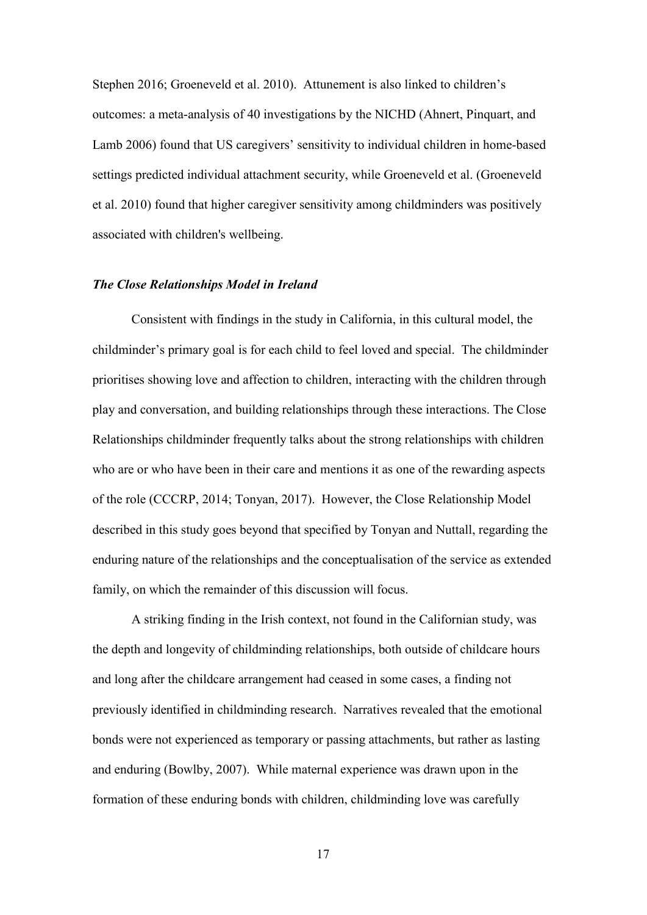Stephen 2016; Groeneveld et al. 2010). Attunement is also linked to children's outcomes: a meta-analysis of 40 investigations by the NICHD (Ahnert, Pinquart, and Lamb 2006) found that US caregivers' sensitivity to individual children in home-based settings predicted individual attachment security, while Groeneveld et al. (Groeneveld et al. 2010) found that higher caregiver sensitivity among childminders was positively associated with children's wellbeing.

#### *The Close Relationships Model in Ireland*

Consistent with findings in the study in California, in this cultural model, the childminder's primary goal is for each child to feel loved and special. The childminder prioritises showing love and affection to children, interacting with the children through play and conversation, and building relationships through these interactions. The Close Relationships childminder frequently talks about the strong relationships with children who are or who have been in their care and mentions it as one of the rewarding aspects of the role (CCCRP, 2014; Tonyan, 2017). However, the Close Relationship Model described in this study goes beyond that specified by Tonyan and Nuttall, regarding the enduring nature of the relationships and the conceptualisation of the service as extended family, on which the remainder of this discussion will focus.

A striking finding in the Irish context, not found in the Californian study, was the depth and longevity of childminding relationships, both outside of childcare hours and long after the childcare arrangement had ceased in some cases, a finding not previously identified in childminding research. Narratives revealed that the emotional bonds were not experienced as temporary or passing attachments, but rather as lasting and enduring (Bowlby, 2007). While maternal experience was drawn upon in the formation of these enduring bonds with children, childminding love was carefully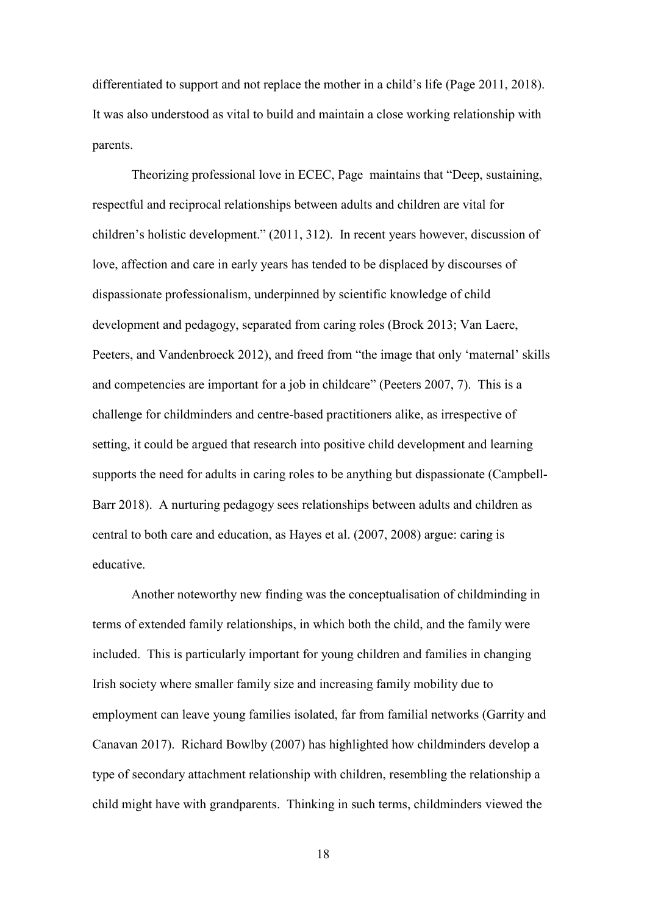differentiated to support and not replace the mother in a child's life (Page 2011, 2018). It was also understood as vital to build and maintain a close working relationship with parents.

Theorizing professional love in ECEC, Page maintains that "Deep, sustaining, respectful and reciprocal relationships between adults and children are vital for children's holistic development." (2011, 312). In recent years however, discussion of love, affection and care in early years has tended to be displaced by discourses of dispassionate professionalism, underpinned by scientific knowledge of child development and pedagogy, separated from caring roles (Brock 2013; Van Laere, Peeters, and Vandenbroeck 2012), and freed from "the image that only 'maternal' skills and competencies are important for a job in childcare" (Peeters 2007, 7). This is a challenge for childminders and centre-based practitioners alike, as irrespective of setting, it could be argued that research into positive child development and learning supports the need for adults in caring roles to be anything but dispassionate (Campbell-Barr 2018). A nurturing pedagogy sees relationships between adults and children as central to both care and education, as Hayes et al. (2007, 2008) argue: caring is educative.

Another noteworthy new finding was the conceptualisation of childminding in terms of extended family relationships, in which both the child, and the family were included. This is particularly important for young children and families in changing Irish society where smaller family size and increasing family mobility due to employment can leave young families isolated, far from familial networks (Garrity and Canavan 2017). Richard Bowlby (2007) has highlighted how childminders develop a type of secondary attachment relationship with children, resembling the relationship a child might have with grandparents. Thinking in such terms, childminders viewed the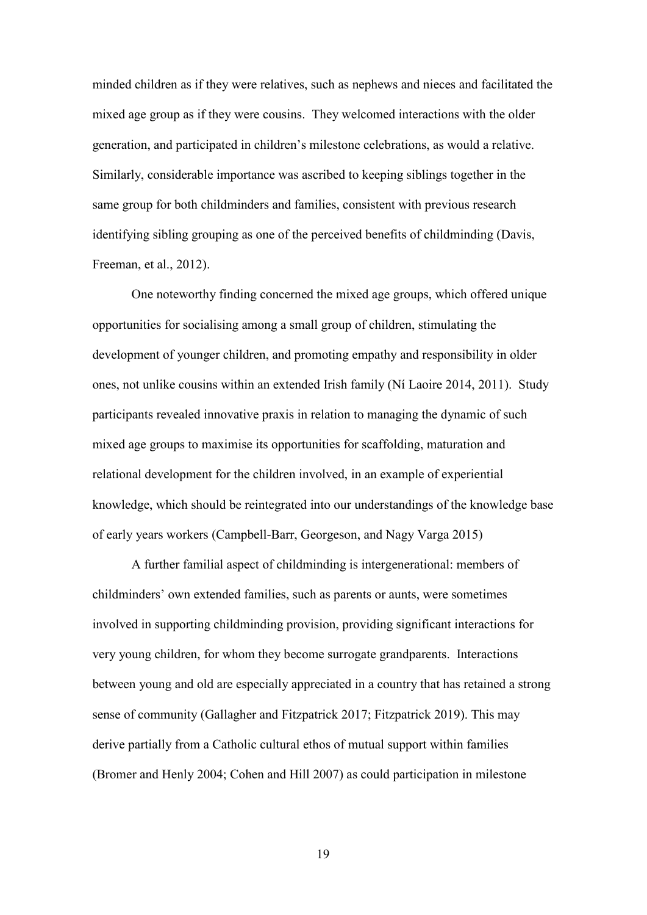minded children as if they were relatives, such as nephews and nieces and facilitated the mixed age group as if they were cousins. They welcomed interactions with the older generation, and participated in children's milestone celebrations, as would a relative. Similarly, considerable importance was ascribed to keeping siblings together in the same group for both childminders and families, consistent with previous research identifying sibling grouping as one of the perceived benefits of childminding (Davis, Freeman, et al., 2012).

One noteworthy finding concerned the mixed age groups, which offered unique opportunities for socialising among a small group of children, stimulating the development of younger children, and promoting empathy and responsibility in older ones, not unlike cousins within an extended Irish family (Ní Laoire 2014, 2011). Study participants revealed innovative praxis in relation to managing the dynamic of such mixed age groups to maximise its opportunities for scaffolding, maturation and relational development for the children involved, in an example of experiential knowledge, which should be reintegrated into our understandings of the knowledge base of early years workers (Campbell-Barr, Georgeson, and Nagy Varga 2015)

A further familial aspect of childminding is intergenerational: members of childminders' own extended families, such as parents or aunts, were sometimes involved in supporting childminding provision, providing significant interactions for very young children, for whom they become surrogate grandparents. Interactions between young and old are especially appreciated in a country that has retained a strong sense of community (Gallagher and Fitzpatrick 2017; Fitzpatrick 2019). This may derive partially from a Catholic cultural ethos of mutual support within families (Bromer and Henly 2004; Cohen and Hill 2007) as could participation in milestone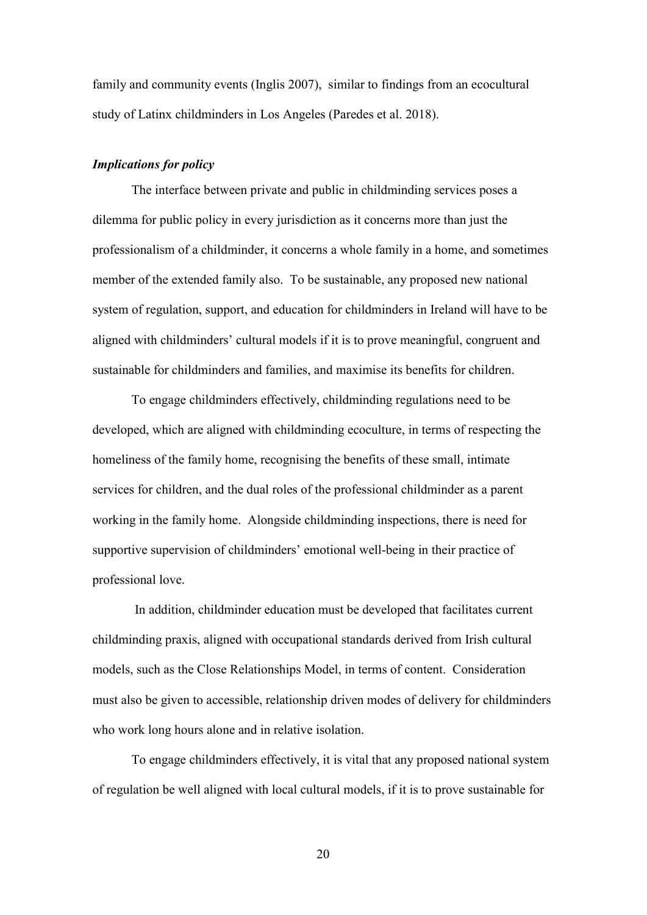family and community events (Inglis 2007), similar to findings from an ecocultural study of Latinx childminders in Los Angeles (Paredes et al. 2018).

#### *Implications for policy*

The interface between private and public in childminding services poses a dilemma for public policy in every jurisdiction as it concerns more than just the professionalism of a childminder, it concerns a whole family in a home, and sometimes member of the extended family also. To be sustainable, any proposed new national system of regulation, support, and education for childminders in Ireland will have to be aligned with childminders' cultural models if it is to prove meaningful, congruent and sustainable for childminders and families, and maximise its benefits for children.

To engage childminders effectively, childminding regulations need to be developed, which are aligned with childminding ecoculture, in terms of respecting the homeliness of the family home, recognising the benefits of these small, intimate services for children, and the dual roles of the professional childminder as a parent working in the family home. Alongside childminding inspections, there is need for supportive supervision of childminders' emotional well-being in their practice of professional love.

In addition, childminder education must be developed that facilitates current childminding praxis, aligned with occupational standards derived from Irish cultural models, such as the Close Relationships Model, in terms of content. Consideration must also be given to accessible, relationship driven modes of delivery for childminders who work long hours alone and in relative isolation.

To engage childminders effectively, it is vital that any proposed national system of regulation be well aligned with local cultural models, if it is to prove sustainable for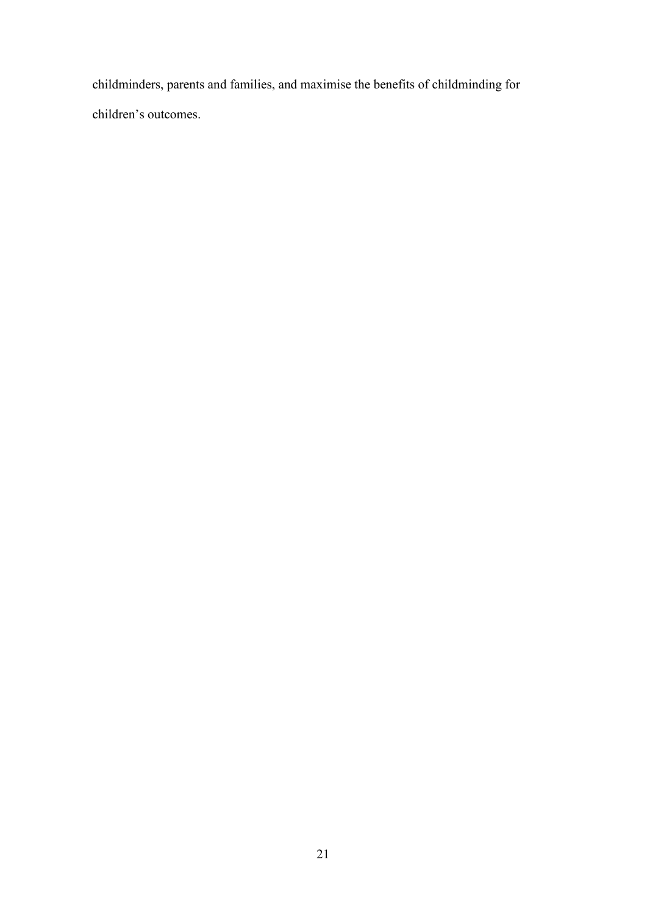childminders, parents and families, and maximise the benefits of childminding for children's outcomes.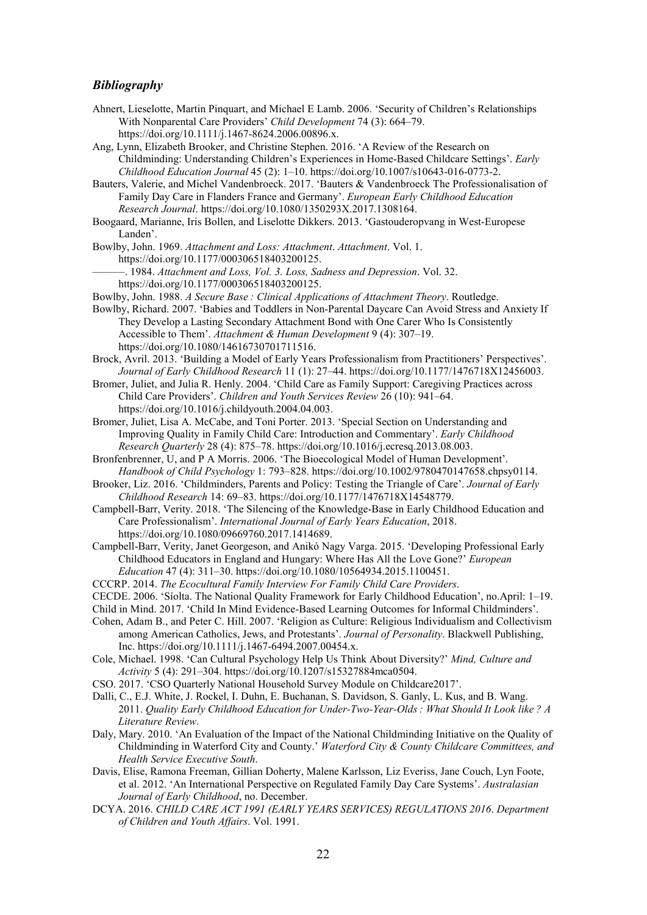#### *Bibliography*

- Ahnert, Lieselotte, Martin Pinquart, and Michael E Lamb. 2006. 'Security of Children's Relationships With Nonparental Care Providers' *Child Development* 74 (3): 664–79. https://doi.org/10.1111/j.1467-8624.2006.00896.x.
- Ang, Lynn, Elizabeth Brooker, and Christine Stephen. 2016. 'A Review of the Research on Childminding: Understanding Children's Experiences in Home-Based Childcare Settings'. *Early Childhood Education Journal* 45 (2): 1–10. https://doi.org/10.1007/s10643-016-0773-2.
- Bauters, Valerie, and Michel Vandenbroeck. 2017. 'Bauters & Vandenbroeck The Professionalisation of Family Day Care in Flanders France and Germany'. *European Early Childhood Education Research Journal*. https://doi.org/10.1080/1350293X.2017.1308164.
- Boogaard, Marianne, Iris Bollen, and Liselotte Dikkers. 2013. 'Gastouderopvang in West-Europese Landen'.
- Bowlby, John. 1969. *Attachment and Loss: Attachment*. *Attachment*. Vol. 1. https://doi.org/10.1177/000306518403200125.
- ———. 1984. *Attachment and Loss, Vol. 3. Loss, Sadness and Depression*. Vol. 32. https://doi.org/10.1177/000306518403200125.
- Bowlby, John. 1988. *A Secure Base : Clinical Applications of Attachment Theory*. Routledge.
- Bowlby, Richard. 2007. 'Babies and Toddlers in Non-Parental Daycare Can Avoid Stress and Anxiety If They Develop a Lasting Secondary Attachment Bond with One Carer Who Is Consistently Accessible to Them'. *Attachment & Human Development* 9 (4): 307–19. https://doi.org/10.1080/14616730701711516.
- Brock, Avril. 2013. 'Building a Model of Early Years Professionalism from Practitioners' Perspectives'. *Journal of Early Childhood Research* 11 (1): 27–44. https://doi.org/10.1177/1476718X12456003.
- Bromer, Juliet, and Julia R. Henly. 2004. 'Child Care as Family Support: Caregiving Practices across Child Care Providers'. *Children and Youth Services Review* 26 (10): 941–64. https://doi.org/10.1016/j.childyouth.2004.04.003.
- Bromer, Juliet, Lisa A. McCabe, and Toni Porter. 2013. 'Special Section on Understanding and Improving Quality in Family Child Care: Introduction and Commentary'. *Early Childhood Research Quarterly* 28 (4): 875–78. https://doi.org/10.1016/j.ecresq.2013.08.003.
- Bronfenbrenner, U, and P A Morris. 2006. 'The Bioecological Model of Human Development'. *Handbook of Child Psychology* 1: 793–828. https://doi.org/10.1002/9780470147658.chpsy0114.
- Brooker, Liz. 2016. 'Childminders, Parents and Policy: Testing the Triangle of Care'. *Journal of Early Childhood Research* 14: 69–83. https://doi.org/10.1177/1476718X14548779.
- Campbell-Barr, Verity. 2018. 'The Silencing of the Knowledge-Base in Early Childhood Education and Care Professionalism'. *International Journal of Early Years Education*, 2018. https://doi.org/10.1080/09669760.2017.1414689.
- Campbell-Barr, Verity, Janet Georgeson, and Anikó Nagy Varga. 2015. 'Developing Professional Early Childhood Educators in England and Hungary: Where Has All the Love Gone?' *European Education* 47 (4): 311–30. https://doi.org/10.1080/10564934.2015.1100451.
- CCCRP. 2014. *The Ecocultural Family Interview For Family Child Care Providers*.
- CECDE. 2006. 'Síolta. The National Quality Framework for Early Childhood Education', no.April: 1–19.
- Child in Mind. 2017. 'Child In Mind Evidence-Based Learning Outcomes for Informal Childminders'.
- Cohen, Adam B., and Peter C. Hill. 2007. 'Religion as Culture: Religious Individualism and Collectivism among American Catholics, Jews, and Protestants'. *Journal of Personality*. Blackwell Publishing, Inc. https://doi.org/10.1111/j.1467-6494.2007.00454.x.
- Cole, Michael. 1998. 'Can Cultural Psychology Help Us Think About Diversity?' *Mind, Culture and Activity* 5 (4): 291–304. https://doi.org/10.1207/s15327884mca0504.
- CSO. 2017. 'CSO Quarterly National Household Survey Module on Childcare2017'.
- Dalli, C., E.J. White, J. Rockel, I. Duhn, E. Buchanan, S. Davidson, S. Ganly, L. Kus, and B. Wang. 2011. *Quality Early Childhood Education for Under-Two-Year-Olds : What Should It Look like ? A Literature Review*.
- Daly, Mary. 2010. 'An Evaluation of the Impact of the National Childminding Initiative on the Quality of Childminding in Waterford City and County.' *Waterford City & County Childcare Committees, and Health Service Executive South*.
- Davis, Elise, Ramona Freeman, Gillian Doherty, Malene Karlsson, Liz Everiss, Jane Couch, Lyn Foote, et al. 2012. 'An International Perspective on Regulated Family Day Care Systems'. *Australasian Journal of Early Childhood*, no. December.
- DCYA. 2016. *CHILD CARE ACT 1991 (EARLY YEARS SERVICES) REGULATIONS 2016*. *Department of Children and Youth Affairs*. Vol. 1991.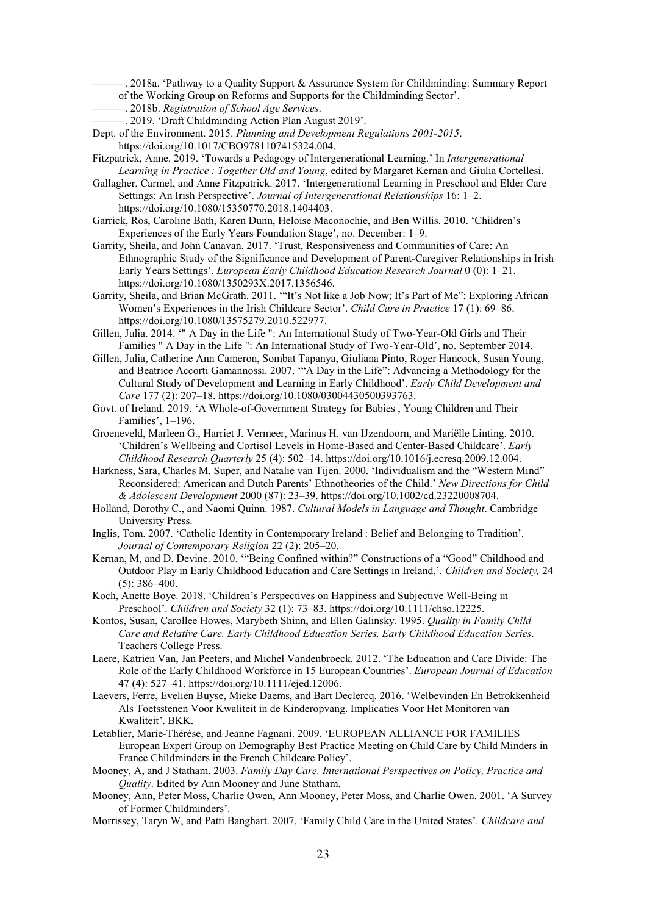- ———. 2018a. 'Pathway to a Quality Support & Assurance System for Childminding: Summary Report
	- of the Working Group on Reforms and Supports for the Childminding Sector'.
- ———. 2018b. *Registration of School Age Services*.
- ———. 2019. 'Draft Childminding Action Plan August 2019'.
- Dept. of the Environment. 2015. *Planning and Development Regulations 2001-2015*. https://doi.org/10.1017/CBO9781107415324.004.
- Fitzpatrick, Anne. 2019. 'Towards a Pedagogy of Intergenerational Learning.' In *Intergenerational Learning in Practice : Together Old and Young*, edited by Margaret Kernan and Giulia Cortellesi.
- Gallagher, Carmel, and Anne Fitzpatrick. 2017. 'Intergenerational Learning in Preschool and Elder Care Settings: An Irish Perspective'. *Journal of Intergenerational Relationships* 16: 1–2. https://doi.org/10.1080/15350770.2018.1404403.
- Garrick, Ros, Caroline Bath, Karen Dunn, Heloise Maconochie, and Ben Willis. 2010. 'Children's Experiences of the Early Years Foundation Stage', no. December: 1–9.
- Garrity, Sheila, and John Canavan. 2017. 'Trust, Responsiveness and Communities of Care: An Ethnographic Study of the Significance and Development of Parent-Caregiver Relationships in Irish Early Years Settings'. *European Early Childhood Education Research Journal* 0 (0): 1–21. https://doi.org/10.1080/1350293X.2017.1356546.
- Garrity, Sheila, and Brian McGrath. 2011. '"It's Not like a Job Now; It's Part of Me": Exploring African Women's Experiences in the Irish Childcare Sector'. *Child Care in Practice* 17 (1): 69–86. https://doi.org/10.1080/13575279.2010.522977.
- Gillen, Julia. 2014. '" A Day in the Life ": An International Study of Two-Year-Old Girls and Their Families " A Day in the Life ": An International Study of Two-Year-Old', no. September 2014.
- Gillen, Julia, Catherine Ann Cameron, Sombat Tapanya, Giuliana Pinto, Roger Hancock, Susan Young, and Beatrice Accorti Gamannossi. 2007. '"A Day in the Life": Advancing a Methodology for the Cultural Study of Development and Learning in Early Childhood'. *Early Child Development and Care* 177 (2): 207–18. https://doi.org/10.1080/03004430500393763.
- Govt. of Ireland. 2019. 'A Whole-of-Government Strategy for Babies , Young Children and Their Families', 1–196.
- Groeneveld, Marleen G., Harriet J. Vermeer, Marinus H. van IJzendoorn, and Mariëlle Linting. 2010. 'Children's Wellbeing and Cortisol Levels in Home-Based and Center-Based Childcare'. *Early Childhood Research Quarterly* 25 (4): 502–14. https://doi.org/10.1016/j.ecresq.2009.12.004.
- Harkness, Sara, Charles M. Super, and Natalie van Tijen. 2000. 'Individualism and the "Western Mind" Reconsidered: American and Dutch Parents' Ethnotheories of the Child.' *New Directions for Child & Adolescent Development* 2000 (87): 23–39. https://doi.org/10.1002/cd.23220008704.
- Holland, Dorothy C., and Naomi Quinn. 1987. *Cultural Models in Language and Thought*. Cambridge University Press.
- Inglis, Tom. 2007. 'Catholic Identity in Contemporary Ireland : Belief and Belonging to Tradition'. *Journal of Contemporary Religion* 22 (2): 205–20.
- Kernan, M, and D. Devine. 2010. '"Being Confined within?" Constructions of a "Good" Childhood and Outdoor Play in Early Childhood Education and Care Settings in Ireland,'. *Children and Society,* 24 (5): 386–400.
- Koch, Anette Boye. 2018. 'Children's Perspectives on Happiness and Subjective Well-Being in Preschool'. *Children and Society* 32 (1): 73–83. https://doi.org/10.1111/chso.12225.
- Kontos, Susan, Carollee Howes, Marybeth Shinn, and Ellen Galinsky. 1995. *Quality in Family Child Care and Relative Care. Early Childhood Education Series. Early Childhood Education Series*. Teachers College Press.
- Laere, Katrien Van, Jan Peeters, and Michel Vandenbroeck. 2012. 'The Education and Care Divide: The Role of the Early Childhood Workforce in 15 European Countries'. *European Journal of Education* 47 (4): 527–41. https://doi.org/10.1111/ejed.12006.
- Laevers, Ferre, Evelien Buyse, Mieke Daems, and Bart Declercq. 2016. 'Welbevinden En Betrokkenheid Als Toetsstenen Voor Kwaliteit in de Kinderopvang. Implicaties Voor Het Monitoren van Kwaliteit'. BKK.
- Letablier, Marie-Thérèse, and Jeanne Fagnani. 2009. 'EUROPEAN ALLIANCE FOR FAMILIES European Expert Group on Demography Best Practice Meeting on Child Care by Child Minders in France Childminders in the French Childcare Policy'.
- Mooney, A, and J Statham. 2003. *Family Day Care. International Perspectives on Policy, Practice and Quality*. Edited by Ann Mooney and June Statham.
- Mooney, Ann, Peter Moss, Charlie Owen, Ann Mooney, Peter Moss, and Charlie Owen. 2001. 'A Survey of Former Childminders'.
- Morrissey, Taryn W, and Patti Banghart. 2007. 'Family Child Care in the United States'. *Childcare and*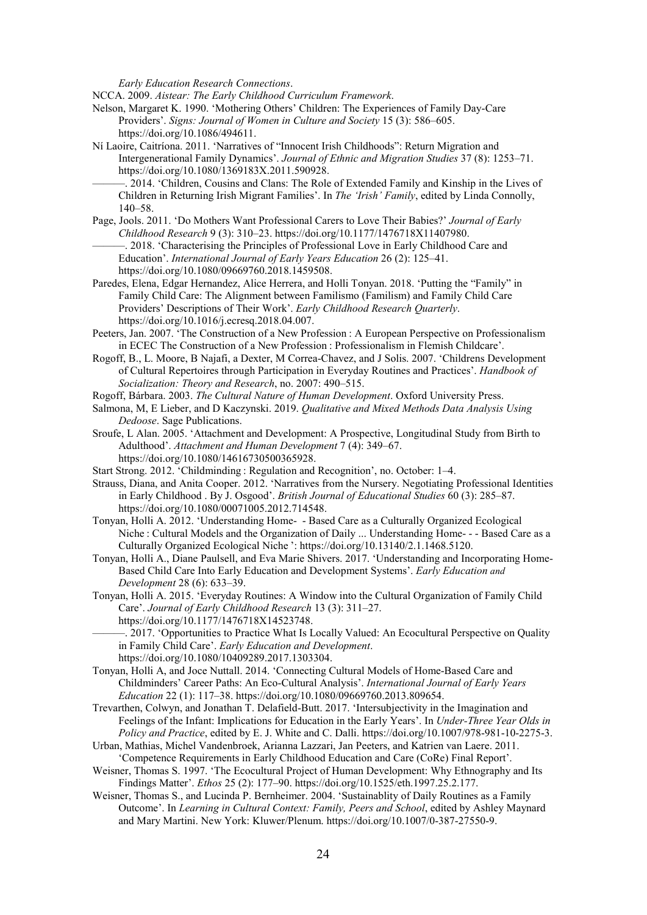*Early Education Research Connections*.

NCCA. 2009. *Aistear: The Early Childhood Curriculum Framework*.

- Nelson, Margaret K. 1990. 'Mothering Others' Children: The Experiences of Family Day-Care Providers'. *Signs: Journal of Women in Culture and Society* 15 (3): 586–605. https://doi.org/10.1086/494611.
- Ní Laoire, Caitríona. 2011. 'Narratives of "Innocent Irish Childhoods": Return Migration and Intergenerational Family Dynamics'. *Journal of Ethnic and Migration Studies* 37 (8): 1253–71. https://doi.org/10.1080/1369183X.2011.590928.
	- ———. 2014. 'Children, Cousins and Clans: The Role of Extended Family and Kinship in the Lives of Children in Returning Irish Migrant Families'. In *The 'Irish' Family*, edited by Linda Connolly, 140–58.
- Page, Jools. 2011. 'Do Mothers Want Professional Carers to Love Their Babies?' *Journal of Early Childhood Research* 9 (3): 310–23. https://doi.org/10.1177/1476718X11407980. ———. 2018. 'Characterising the Principles of Professional Love in Early Childhood Care and Education'. *International Journal of Early Years Education* 26 (2): 125–41.
	- https://doi.org/10.1080/09669760.2018.1459508.
- Paredes, Elena, Edgar Hernandez, Alice Herrera, and Holli Tonyan. 2018. 'Putting the "Family" in Family Child Care: The Alignment between Familismo (Familism) and Family Child Care Providers' Descriptions of Their Work'. *Early Childhood Research Quarterly*. https://doi.org/10.1016/j.ecresq.2018.04.007.
- Peeters, Jan. 2007. 'The Construction of a New Profession : A European Perspective on Professionalism in ECEC The Construction of a New Profession : Professionalism in Flemish Childcare'.
- Rogoff, B., L. Moore, B Najafi, a Dexter, M Correa-Chavez, and J Solis. 2007. 'Childrens Development of Cultural Repertoires through Participation in Everyday Routines and Practices'. *Handbook of Socialization: Theory and Research*, no. 2007: 490–515.
- Rogoff, Bárbara. 2003. *The Cultural Nature of Human Development*. Oxford University Press.
- Salmona, M, E Lieber, and D Kaczynski. 2019. *Qualitative and Mixed Methods Data Analysis Using Dedoose*. Sage Publications.
- Sroufe, L Alan. 2005. 'Attachment and Development: A Prospective, Longitudinal Study from Birth to Adulthood'. *Attachment and Human Development* 7 (4): 349–67. https://doi.org/10.1080/14616730500365928.
- Start Strong. 2012. 'Childminding : Regulation and Recognition', no. October: 1–4.
- Strauss, Diana, and Anita Cooper. 2012. 'Narratives from the Nursery. Negotiating Professional Identities in Early Childhood . By J. Osgood'. *British Journal of Educational Studies* 60 (3): 285–87. https://doi.org/10.1080/00071005.2012.714548.
- Tonyan, Holli A. 2012. 'Understanding Home- ‐ Based Care as a Culturally Organized Ecological Niche : Cultural Models and the Organization of Daily ... Understanding Home- ‐ Based Care as a Culturally Organized Ecological Niche ': https://doi.org/10.13140/2.1.1468.5120.
- Tonyan, Holli A., Diane Paulsell, and Eva Marie Shivers. 2017. 'Understanding and Incorporating Home-Based Child Care Into Early Education and Development Systems'. *Early Education and Development* 28 (6): 633–39.
- Tonyan, Holli A. 2015. 'Everyday Routines: A Window into the Cultural Organization of Family Child Care'. *Journal of Early Childhood Research* 13 (3): 311–27. https://doi.org/10.1177/1476718X14523748.
- ———. 2017. 'Opportunities to Practice What Is Locally Valued: An Ecocultural Perspective on Quality in Family Child Care'. *Early Education and Development*. https://doi.org/10.1080/10409289.2017.1303304.
- Tonyan, Holli A, and Joce Nuttall. 2014. 'Connecting Cultural Models of Home-Based Care and Childminders' Career Paths: An Eco-Cultural Analysis'. *International Journal of Early Years Education* 22 (1): 117–38. https://doi.org/10.1080/09669760.2013.809654.
- Trevarthen, Colwyn, and Jonathan T. Delafield-Butt. 2017. 'Intersubjectivity in the Imagination and Feelings of the Infant: Implications for Education in the Early Years'. In *Under-Three Year Olds in Policy and Practice*, edited by E. J. White and C. Dalli. https://doi.org/10.1007/978-981-10-2275-3.
- Urban, Mathias, Michel Vandenbroek, Arianna Lazzari, Jan Peeters, and Katrien van Laere. 2011. 'Competence Requirements in Early Childhood Education and Care (CoRe) Final Report'.
- Weisner, Thomas S. 1997. 'The Ecocultural Project of Human Development: Why Ethnography and Its Findings Matter'. *Ethos* 25 (2): 177–90. https://doi.org/10.1525/eth.1997.25.2.177.
- Weisner, Thomas S., and Lucinda P. Bernheimer. 2004. 'Sustainablity of Daily Routines as a Family Outcome'. In *Learning in Cultural Context: Family, Peers and School*, edited by Ashley Maynard and Mary Martini. New York: Kluwer/Plenum. https://doi.org/10.1007/0-387-27550-9.